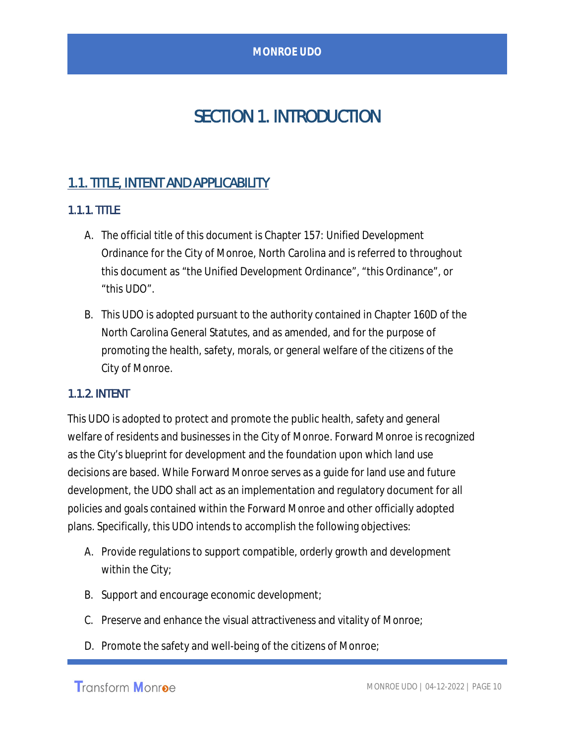# SECTION 1. INTRODUCTION

# 1.1. TITLE, INTENT AND APPLICABILITY

# 1.1.1. TITLE

- A. The official title of this document is Chapter 157: Unified Development Ordinance for the City of Monroe, North Carolina and is referred to throughout this document as "the Unified Development Ordinance", "this Ordinance", or "this UDO".
- B. This UDO is adopted pursuant to the authority contained in Chapter 160D of the North Carolina General Statutes, and as amended, and for the purpose of promoting the health, safety, morals, or general welfare of the citizens of the City of Monroe.

#### 1.1.2. INTENT

This UDO is adopted to protect and promote the public health, safety and general welfare of residents and businesses in the City of Monroe. Forward Monroe is recognized as the City's blueprint for development and the foundation upon which land use decisions are based. While Forward Monroe serves as a guide for land use and future development, the UDO shall act as an implementation and regulatory document for all policies and goals contained within the Forward Monroe and other officially adopted plans. Specifically, this UDO intends to accomplish the following objectives:

- A. Provide regulations to support compatible, orderly growth and development within the City;
- B. Support and encourage economic development;
- C. Preserve and enhance the visual attractiveness and vitality of Monroe;
- D. Promote the safety and well-being of the citizens of Monroe;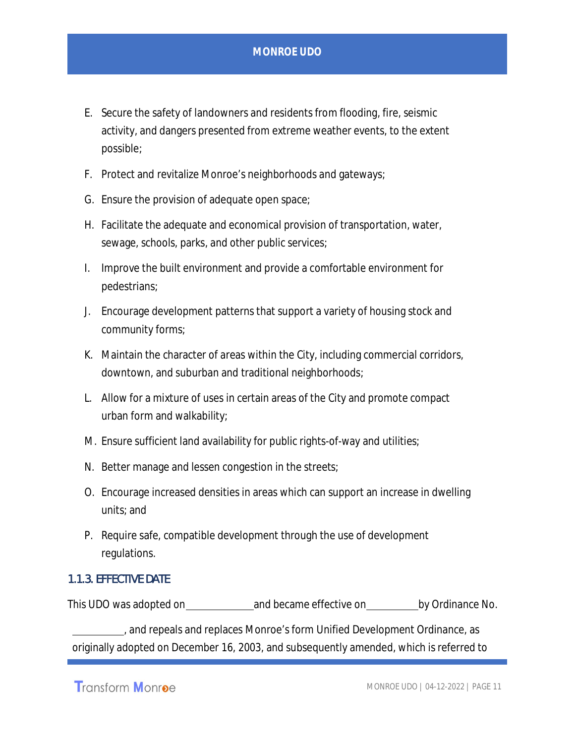- E. Secure the safety of landowners and residents from flooding, fire, seismic activity, and dangers presented from extreme weather events, to the extent possible;
- F. Protect and revitalize Monroe's neighborhoods and gateways;
- G. Ensure the provision of adequate open space;
- H. Facilitate the adequate and economical provision of transportation, water, sewage, schools, parks, and other public services;
- I. Improve the built environment and provide a comfortable environment for pedestrians;
- J. Encourage development patterns that support a variety of housing stock and community forms;
- K. Maintain the character of areas within the City, including commercial corridors, downtown, and suburban and traditional neighborhoods;
- L. Allow for a mixture of uses in certain areas of the City and promote compact urban form and walkability;
- M. Ensure sufficient land availability for public rights-of-way and utilities;
- N. Better manage and lessen congestion in the streets;
- O. Encourage increased densities in areas which can support an increase in dwelling units; and
- P. Require safe, compatible development through the use of development regulations.

#### 1.1.3. EFFECTIVE DATE

This UDO was adopted on and became effective on by Ordinance No.

, and repeals and replaces Monroe's form Unified Development Ordinance, as originally adopted on December 16, 2003, and subsequently amended, which is referred to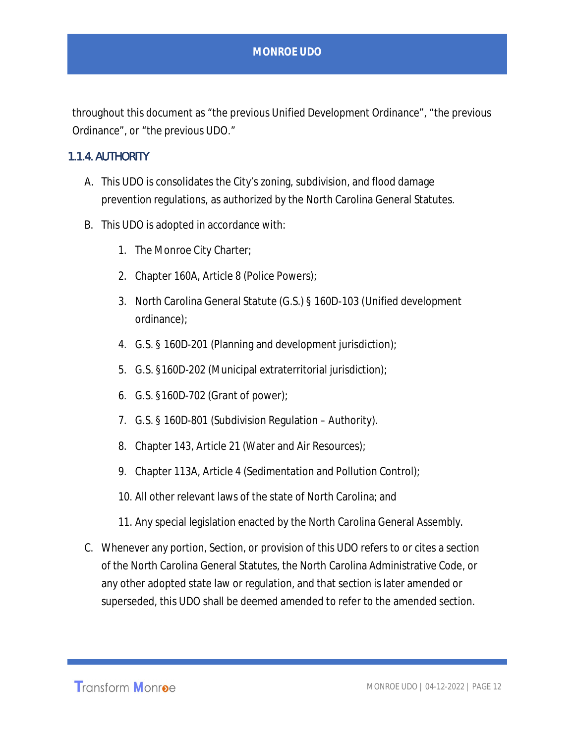throughout this document as "the previous Unified Development Ordinance", "the previous Ordinance", or "the previous UDO."

#### 1.1.4. AUTHORITY

- A. This UDO is consolidates the City's zoning, subdivision, and flood damage prevention regulations, as authorized by the North Carolina General Statutes.
- B. This UDO is adopted in accordance with:
	- 1. The Monroe City Charter;
	- 2. Chapter 160A, Article 8 (Police Powers);
	- 3. North Carolina General Statute (G.S.) § 160D-103 (Unified development ordinance);
	- 4. G.S. § 160D-201 (Planning and development jurisdiction);
	- 5. G.S. §160D-202 (Municipal extraterritorial jurisdiction);
	- 6. G.S. §160D-702 (Grant of power);
	- 7. G.S. § 160D-801 (Subdivision Regulation Authority).
	- 8. Chapter 143, Article 21 (Water and Air Resources);
	- 9. Chapter 113A, Article 4 (Sedimentation and Pollution Control);
	- 10. All other relevant laws of the state of North Carolina; and
	- 11. Any special legislation enacted by the North Carolina General Assembly.
- C. Whenever any portion, Section, or provision of this UDO refers to or cites a section of the North Carolina General Statutes, the North Carolina Administrative Code, or any other adopted state law or regulation, and that section is later amended or superseded, this UDO shall be deemed amended to refer to the amended section.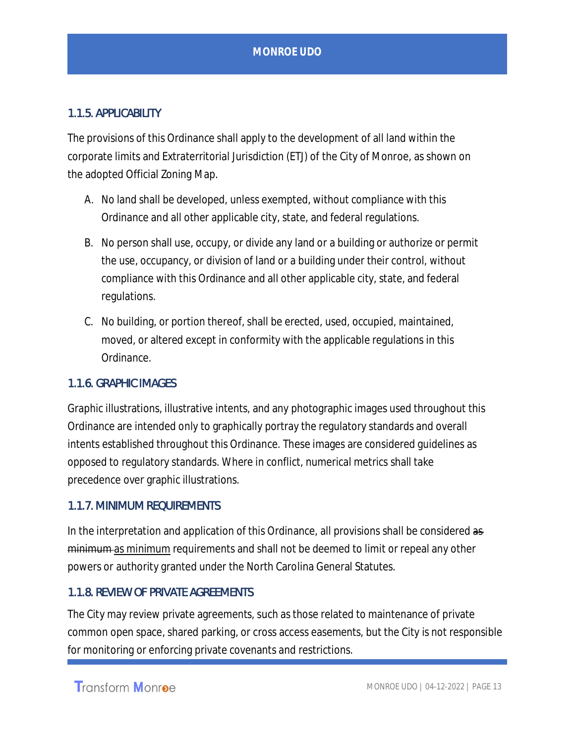# 1.1.5. APPLICABILITY

The provisions of this Ordinance shall apply to the development of all land within the corporate limits and Extraterritorial Jurisdiction (ETJ) of the City of Monroe, as shown on the adopted Official Zoning Map.

- A. No land shall be developed, unless exempted, without compliance with this Ordinance and all other applicable city, state, and federal regulations.
- B. No person shall use, occupy, or divide any land or a building or authorize or permit the use, occupancy, or division of land or a building under their control, without compliance with this Ordinance and all other applicable city, state, and federal regulations.
- C. No building, or portion thereof, shall be erected, used, occupied, maintained, moved, or altered except in conformity with the applicable regulations in this Ordinance.

#### 1.1.6. GRAPHIC IMAGES

Graphic illustrations, illustrative intents, and any photographic images used throughout this Ordinance are intended only to graphically portray the regulatory standards and overall intents established throughout this Ordinance. These images are considered guidelines as opposed to regulatory standards. Where in conflict, numerical metrics shall take precedence over graphic illustrations.

#### 1.1.7. MINIMUM REQUIREMENTS

In the interpretation and application of this Ordinance, all provisions shall be considered as minimum as minimum requirements and shall not be deemed to limit or repeal any other powers or authority granted under the North Carolina General Statutes.

#### 1.1.8. REVIEW OF PRIVATE AGREEMENTS

The City may review private agreements, such as those related to maintenance of private common open space, shared parking, or cross access easements, but the City is not responsible for monitoring or enforcing private covenants and restrictions.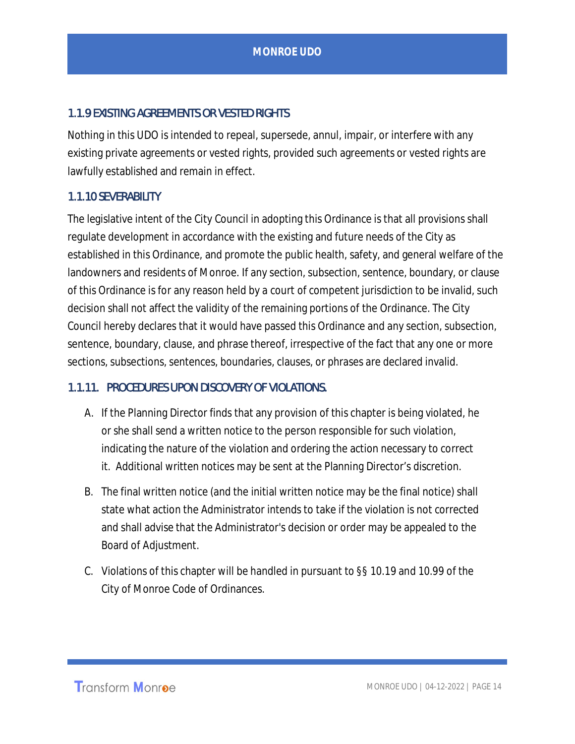# 1.1.9 EXISTING AGREEMENTS OR VESTED RIGHTS

Nothing in this UDO is intended to repeal, supersede, annul, impair, or interfere with any existing private agreements or vested rights, provided such agreements or vested rights are lawfully established and remain in effect.

#### 1.1.10 SEVERABILITY

The legislative intent of the City Council in adopting this Ordinance is that all provisions shall regulate development in accordance with the existing and future needs of the City as established in this Ordinance, and promote the public health, safety, and general welfare of the landowners and residents of Monroe. If any section, subsection, sentence, boundary, or clause of this Ordinance is for any reason held by a court of competent jurisdiction to be invalid, such decision shall not affect the validity of the remaining portions of the Ordinance. The City Council hereby declares that it would have passed this Ordinance and any section, subsection, sentence, boundary, clause, and phrase thereof, irrespective of the fact that any one or more sections, subsections, sentences, boundaries, clauses, or phrases are declared invalid.

#### 1.1.11. PROCEDURES UPON DISCOVERY OF VIOLATIONS.

- A. If the Planning Director finds that any provision of this chapter is being violated, he or she shall send a written notice to the person responsible for such violation, indicating the nature of the violation and ordering the action necessary to correct it. Additional written notices may be sent at the Planning Director's discretion.
- B. The final written notice (and the initial written notice may be the final notice) shall state what action the Administrator intends to take if the violation is not corrected and shall advise that the Administrator's decision or order may be appealed to the Board of Adjustment.
- C. Violations of this chapter will be handled in pursuant to §§ 10.19 and 10.99 of the City of Monroe Code of Ordinances.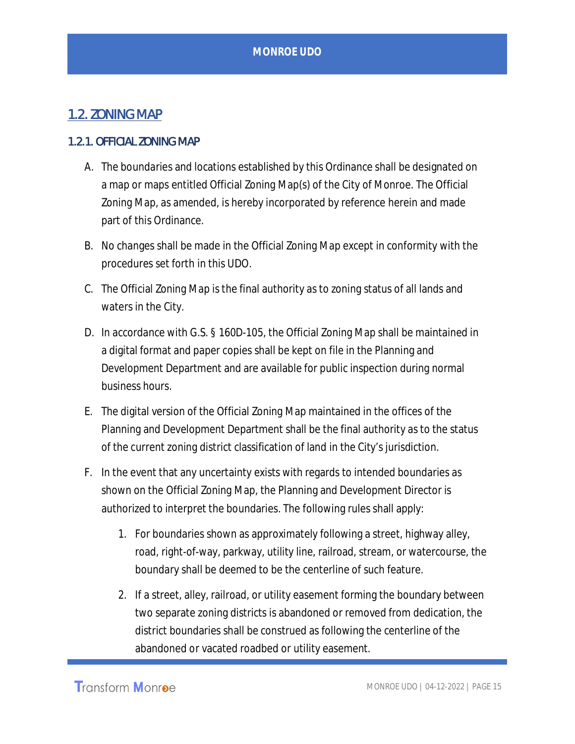# 1.2. ZONING MAP

#### 1.2.1. OFFICIAL ZONING MAP

- A. The boundaries and locations established by this Ordinance shall be designated on a map or maps entitled Official Zoning Map(s) of the City of Monroe. The Official Zoning Map, as amended, is hereby incorporated by reference herein and made part of this Ordinance.
- B. No changes shall be made in the Official Zoning Map except in conformity with the procedures set forth in this UDO.
- C. The Official Zoning Map is the final authority as to zoning status of all lands and waters in the City.
- D. In accordance with G.S. § 160D-105, the Official Zoning Map shall be maintained in a digital format and paper copies shall be kept on file in the Planning and Development Department and are available for public inspection during normal business hours.
- E. The digital version of the Official Zoning Map maintained in the offices of the Planning and Development Department shall be the final authority as to the status of the current zoning district classification of land in the City's jurisdiction.
- F. In the event that any uncertainty exists with regards to intended boundaries as shown on the Official Zoning Map, the Planning and Development Director is authorized to interpret the boundaries. The following rules shall apply:
	- 1. For boundaries shown as approximately following a street, highway alley, road, right-of-way, parkway, utility line, railroad, stream, or watercourse, the boundary shall be deemed to be the centerline of such feature.
	- 2. If a street, alley, railroad, or utility easement forming the boundary between two separate zoning districts is abandoned or removed from dedication, the district boundaries shall be construed as following the centerline of the abandoned or vacated roadbed or utility easement.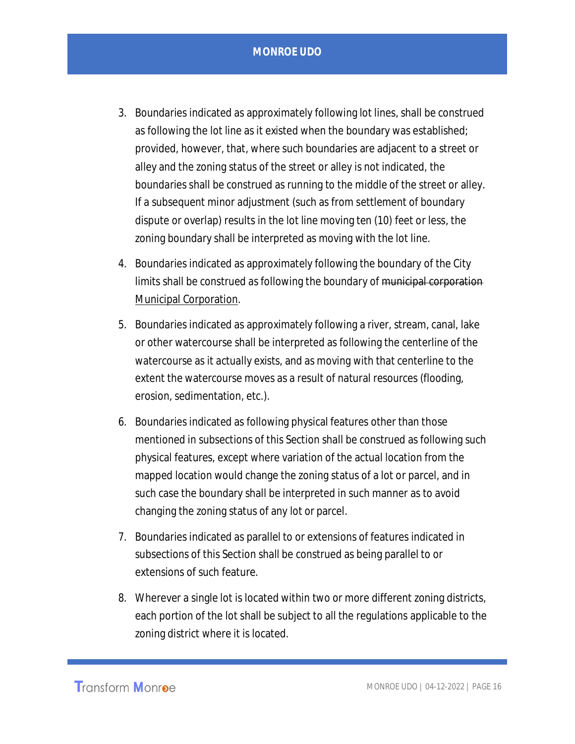- 3. Boundaries indicated as approximately following lot lines, shall be construed as following the lot line as it existed when the boundary was established; provided, however, that, where such boundaries are adjacent to a street or alley and the zoning status of the street or alley is not indicated, the boundaries shall be construed as running to the middle of the street or alley. If a subsequent minor adjustment (such as from settlement of boundary dispute or overlap) results in the lot line moving ten (10) feet or less, the zoning boundary shall be interpreted as moving with the lot line.
- 4. Boundaries indicated as approximately following the boundary of the City limits shall be construed as following the boundary of municipal corporation Municipal Corporation.
- 5. Boundaries indicated as approximately following a river, stream, canal, lake or other watercourse shall be interpreted as following the centerline of the watercourse as it actually exists, and as moving with that centerline to the extent the watercourse moves as a result of natural resources (flooding, erosion, sedimentation, etc.).
- 6. Boundaries indicated as following physical features other than those mentioned in subsections of this Section shall be construed as following such physical features, except where variation of the actual location from the mapped location would change the zoning status of a lot or parcel, and in such case the boundary shall be interpreted in such manner as to avoid changing the zoning status of any lot or parcel.
- 7. Boundaries indicated as parallel to or extensions of features indicated in subsections of this Section shall be construed as being parallel to or extensions of such feature.
- 8. Wherever a single lot is located within two or more different zoning districts, each portion of the lot shall be subject to all the regulations applicable to the zoning district where it is located.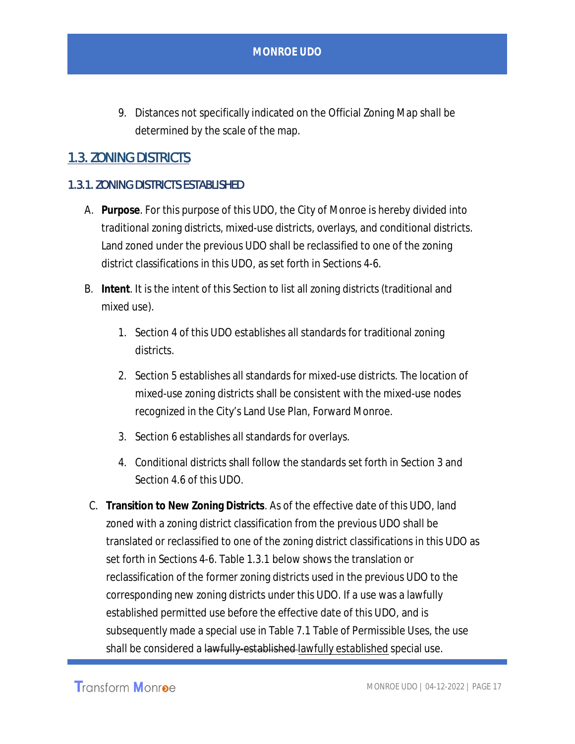9. Distances not specifically indicated on the Official Zoning Map shall be determined by the scale of the map.

# 1.3. ZONING DISTRICTS

## 1.3.1. ZONING DISTRICTS ESTABLISHED

- A. **Purpose**. For this purpose of this UDO, the City of Monroe is hereby divided into traditional zoning districts, mixed-use districts, overlays, and conditional districts. Land zoned under the previous UDO shall be reclassified to one of the zoning district classifications in this UDO, as set forth in Sections 4-6.
- B. **Intent**. It is the intent of this Section to list all zoning districts (traditional and mixed use).
	- 1. Section 4 of this UDO establishes all standards for traditional zoning districts.
	- 2. Section 5 establishes all standards for mixed-use districts. The location of mixed-use zoning districts shall be consistent with the mixed-use nodes recognized in the City's Land Use Plan, Forward Monroe.
	- 3. Section 6 establishes all standards for overlays.
	- 4. Conditional districts shall follow the standards set forth in Section 3 and Section 4.6 of this UDO.
- C. **Transition to New Zoning Districts**. As of the effective date of this UDO, land zoned with a zoning district classification from the previous UDO shall be translated or reclassified to one of the zoning district classifications in this UDO as set forth in Sections 4-6. Table 1.3.1 below shows the translation or reclassification of the former zoning districts used in the previous UDO to the corresponding new zoning districts under this UDO. If a use was a lawfully established permitted use before the effective date of this UDO, and is subsequently made a special use in Table 7.1 Table of Permissible Uses, the use shall be considered a lawfully established lawfully established special use.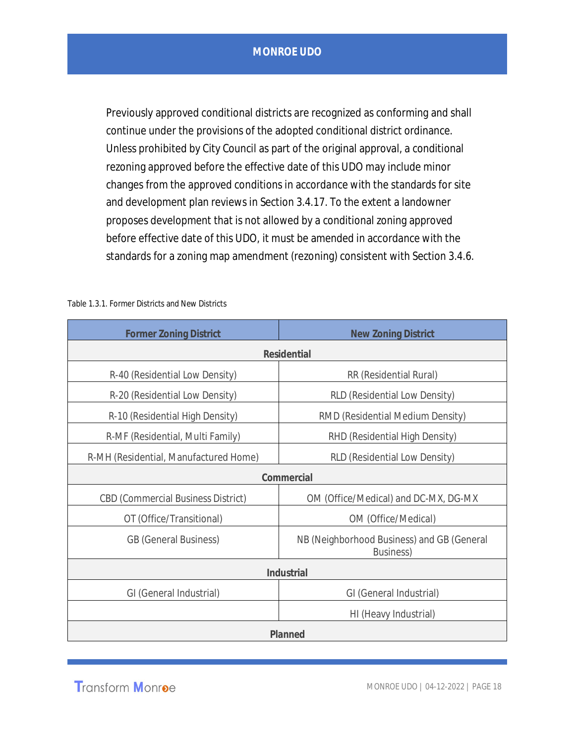Previously approved conditional districts are recognized as conforming and shall continue under the provisions of the adopted conditional district ordinance. Unless prohibited by City Council as part of the original approval, a conditional rezoning approved before the effective date of this UDO may include minor changes from the approved conditions in accordance with the standards for site and development plan reviews in Section 3.4.17. To the extent a landowner proposes development that is not allowed by a conditional zoning approved before effective date of this UDO, it must be amended in accordance with the standards for a zoning map amendment (rezoning) consistent with Section 3.4.6.

| <b>Former Zoning District</b>             | <b>New Zoning District</b>                                      |
|-------------------------------------------|-----------------------------------------------------------------|
| Residential                               |                                                                 |
| R-40 (Residential Low Density)            | RR (Residential Rural)                                          |
| R-20 (Residential Low Density)            | RLD (Residential Low Density)                                   |
| R-10 (Residential High Density)           | RMD (Residential Medium Density)                                |
| R-MF (Residential, Multi Family)          | RHD (Residential High Density)                                  |
| R-MH (Residential, Manufactured Home)     | RLD (Residential Low Density)                                   |
| Commercial                                |                                                                 |
| <b>CBD (Commercial Business District)</b> | OM (Office/Medical) and DC-MX, DG-MX                            |
| OT (Office/Transitional)                  | OM (Office/Medical)                                             |
| <b>GB</b> (General Business)              | NB (Neighborhood Business) and GB (General<br><b>Business</b> ) |
| Industrial                                |                                                                 |
| GI (General Industrial)                   | GI (General Industrial)                                         |
|                                           | HI (Heavy Industrial)                                           |
| Planned                                   |                                                                 |

Table 1.3.1. Former Districts and New Districts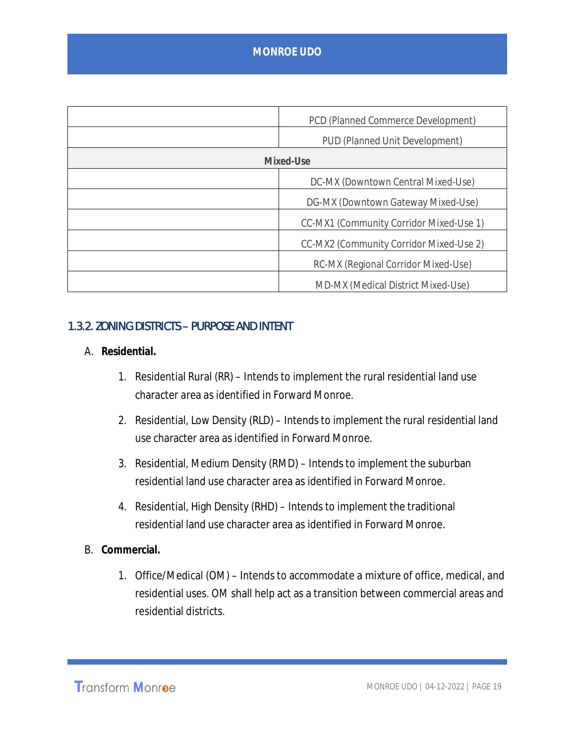|           | PCD (Planned Commerce Development)      |
|-----------|-----------------------------------------|
|           | PUD (Planned Unit Development)          |
| Mixed-Use |                                         |
|           | DC-MX (Downtown Central Mixed-Use)      |
|           | DG-MX (Downtown Gateway Mixed-Use)      |
|           | CC-MX1 (Community Corridor Mixed-Use 1) |
|           | CC-MX2 (Community Corridor Mixed-Use 2) |
|           | RC-MX (Regional Corridor Mixed-Use)     |
|           | MD-MX (Medical District Mixed-Use)      |

#### 1.3.2. ZONING DISTRICTS – PURPOSE AND INTENT

- A. **Residential.**
	- 1. Residential Rural (RR) Intends to implement the rural residential land use character area as identified in Forward Monroe.
	- 2. Residential, Low Density (RLD) Intends to implement the rural residential land use character area as identified in Forward Monroe.
	- 3. Residential, Medium Density (RMD) Intends to implement the suburban residential land use character area as identified in Forward Monroe.
	- 4. Residential, High Density (RHD) Intends to implement the traditional residential land use character area as identified in Forward Monroe.
- B. **Commercial.**
	- 1. Office/Medical (OM) Intends to accommodate a mixture of office, medical, and residential uses. OM shall help act as a transition between commercial areas and residential districts.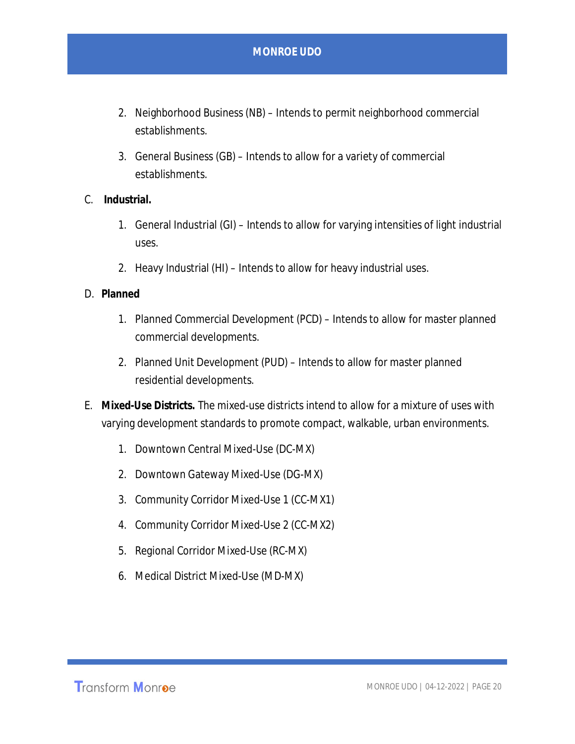- 2. Neighborhood Business (NB) Intends to permit neighborhood commercial establishments.
- 3. General Business (GB) Intends to allow for a variety of commercial establishments.
- C. **Industrial.**
	- 1. General Industrial (GI) Intends to allow for varying intensities of light industrial uses.
	- 2. Heavy Industrial (HI) Intends to allow for heavy industrial uses.
- D. **Planned**
	- 1. Planned Commercial Development (PCD) Intends to allow for master planned commercial developments.
	- 2. Planned Unit Development (PUD) Intends to allow for master planned residential developments.
- E. **Mixed-Use Districts.** The mixed-use districts intend to allow for a mixture of uses with varying development standards to promote compact, walkable, urban environments.
	- 1. Downtown Central Mixed-Use (DC-MX)
	- 2. Downtown Gateway Mixed-Use (DG-MX)
	- 3. Community Corridor Mixed-Use 1 (CC-MX1)
	- 4. Community Corridor Mixed-Use 2 (CC-MX2)
	- 5. Regional Corridor Mixed-Use (RC-MX)
	- 6. Medical District Mixed-Use (MD-MX)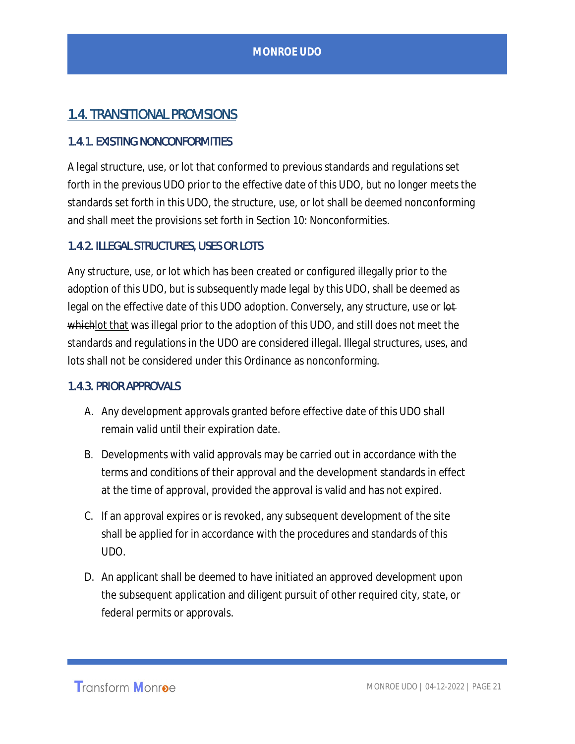# 1.4. TRANSITIONAL PROVISIONS

#### 1.4.1. EXISTING NONCONFORMITIES

 A legal structure, use, or lot that conformed to previous standards and regulations set forth in the previous UDO prior to the effective date of this UDO, but no longer meets the standards set forth in this UDO, the structure, use, or lot shall be deemed nonconforming and shall meet the provisions set forth in Section 10: Nonconformities.

#### 1.4.2. ILLEGAL STRUCTURES, USES OR LOTS

Any structure, use, or lot which has been created or configured illegally prior to the adoption of this UDO, but is subsequently made legal by this UDO, shall be deemed as legal on the effective date of this UDO adoption. Conversely, any structure, use or lotwhichlot that was illegal prior to the adoption of this UDO, and still does not meet the standards and regulations in the UDO are considered illegal. Illegal structures, uses, and lots shall not be considered under this Ordinance as nonconforming.

#### 1.4.3. PRIOR APPROVALS

- A. Any development approvals granted before effective date of this UDO shall remain valid until their expiration date.
- B. Developments with valid approvals may be carried out in accordance with the terms and conditions of their approval and the development standards in effect at the time of approval, provided the approval is valid and has not expired.
- C. If an approval expires or is revoked, any subsequent development of the site shall be applied for in accordance with the procedures and standards of this UDO.
- D. An applicant shall be deemed to have initiated an approved development upon the subsequent application and diligent pursuit of other required city, state, or federal permits or approvals.